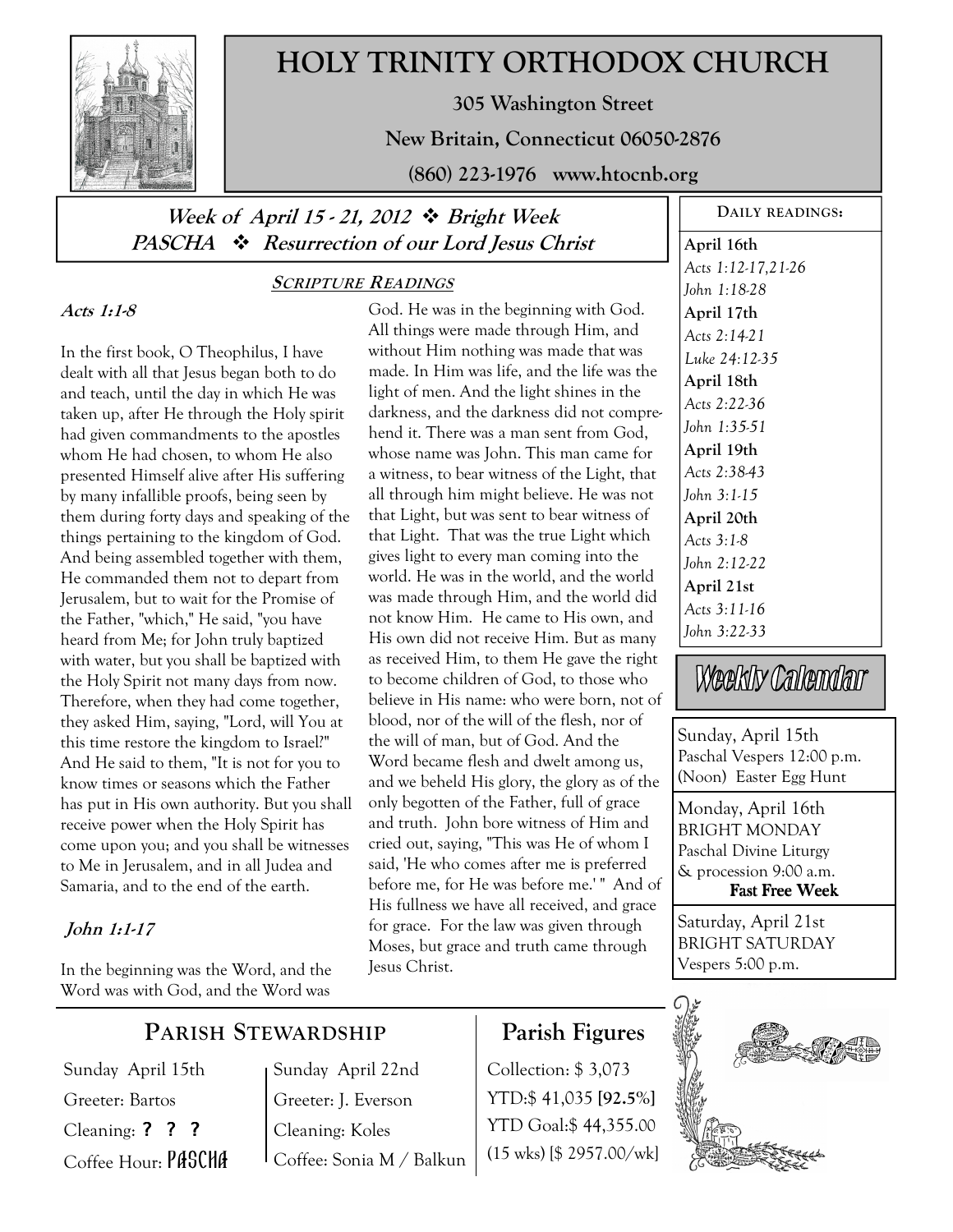

# **HOLY TRINITY ORTHODOX CHURCH**

**305 Washington Street** 

**New Britain, Connecticut 06050-2876** 

**(860) 223-1976 www.htocnb.org** 

# Week of April 15 - 21, 2012  $\div$  Bright Week **PASCHA Resurrection of our Lord Jesus Christ**

### **Acts 1:1-8**

In the first book, O Theophilus, I have dealt with all that Jesus began both to do and teach, until the day in which He was taken up, after He through the Holy spirit had given commandments to the apostles whom He had chosen, to whom He also presented Himself alive after His suffering by many infallible proofs, being seen by them during forty days and speaking of the things pertaining to the kingdom of God. And being assembled together with them, He commanded them not to depart from Jerusalem, but to wait for the Promise of the Father, "which," He said, "you have heard from Me; for John truly baptized with water, but you shall be baptized with the Holy Spirit not many days from now. Therefore, when they had come together, they asked Him, saying, "Lord, will You at this time restore the kingdom to Israel?" And He said to them, "It is not for you to know times or seasons which the Father has put in His own authority. But you shall receive power when the Holy Spirit has come upon you; and you shall be witnesses to Me in Jerusalem, and in all Judea and Samaria, and to the end of the earth.

### **John 1:1-17**

In the beginning was the Word, and the Word was with God, and the Word was

## **SCRIPTURE READINGS**

God. He was in the beginning with God. All things were made through Him, and without Him nothing was made that was made. In Him was life, and the life was the light of men. And the light shines in the darkness, and the darkness did not comprehend it. There was a man sent from God, whose name was John. This man came for a witness, to bear witness of the Light, that all through him might believe. He was not that Light, but was sent to bear witness of that Light. That was the true Light which gives light to every man coming into the world. He was in the world, and the world was made through Him, and the world did not know Him. He came to His own, and His own did not receive Him. But as many as received Him, to them He gave the right to become children of God, to those who believe in His name: who were born, not of blood, nor of the will of the flesh, nor of the will of man, but of God. And the Word became flesh and dwelt among us, and we beheld His glory, the glory as of the only begotten of the Father, full of grace and truth. John bore witness of Him and cried out, saying, "This was He of whom I said, 'He who comes after me is preferred before me, for He was before me.' " And of His fullness we have all received, and grace for grace. For the law was given through Moses, but grace and truth came through Jesus Christ.

# **April 16th**  *Acts 1:12-17,21-26 John 1:18-28*  **April 17th**  *Acts 2:14-21 Luke 24:12-35*  **April 18th**  *Acts 2:22-36 John 1:35-51*  **April 19th**  *Acts 2:38-43 John 3:1-15*  **April 20th**  *Acts 3:1-8 John 2:12-22*  **April 21st**  *Acts 3:11-16 John 3:22-33*

**DAILY READINGS:** 

Weekly Calendar

Sunday, April 15th Paschal Vespers 12:00 p.m. (Noon) Easter Egg Hunt

Monday, April 16th BRIGHT MONDAY Paschal Divine Liturgy & procession 9:00 a.m. Fast Free Week

Saturday, April 21st BRIGHT SATURDAY Vespers 5:00 p.m.



# **PARISH STEWARDSHIP**

Sunday April 15th Greeter: Bartos Cleaning: ? ? ? Coffee Hour: PASCHA Sunday April 22nd Greeter: J. Everson Cleaning: Koles Coffee: Sonia M / Balkun

# **Parish Figures**

Collection: \$ 3,073 YTD:\$ 41,035 **[92.5%]** YTD Goal:\$ 44,355.00 (15 wks) [\$ 2957.00/wk]